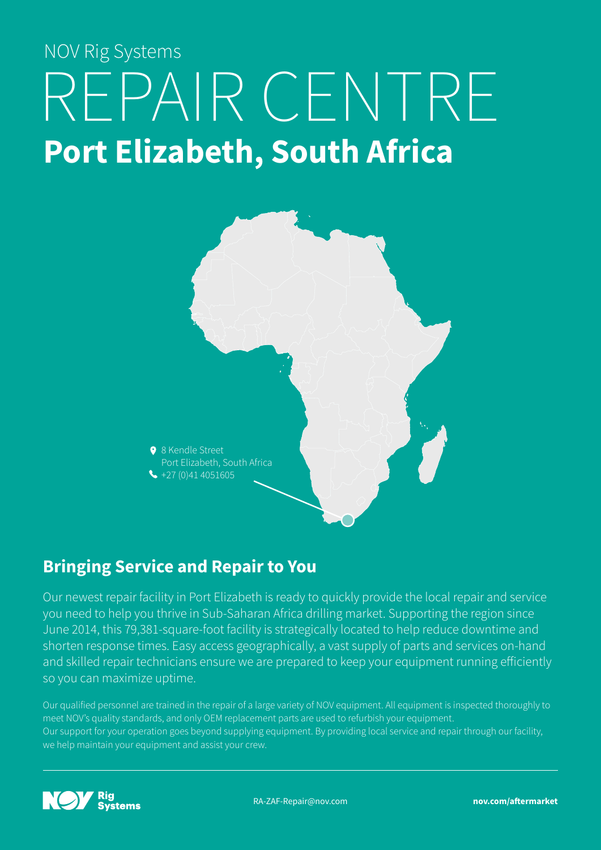# REPAIR CENTRE **Port Elizabeth, South Africa** NOV Rig Systems



# **Bringing Service and Repair to You**

Our newest repair facility in Port Elizabeth is ready to quickly provide the local repair and service you need to help you thrive in Sub-Saharan Africa drilling market. Supporting the region since June 2014, this 79,381-square-foot facility is strategically located to help reduce downtime and shorten response times. Easy access geographically, a vast supply of parts and services on-hand and skilled repair technicians ensure we are prepared to keep your equipment running efficiently so you can maximize uptime.

Our qualified personnel are trained in the repair of a large variety of NOV equipment. All equipment is inspected thoroughly to meet NOV's quality standards, and only OEM replacement parts are used to refurbish your equipment. Our support for your operation goes beyond supplying equipment. By providing local service and repair through our facility, we help maintain your equipment and assist your crew.